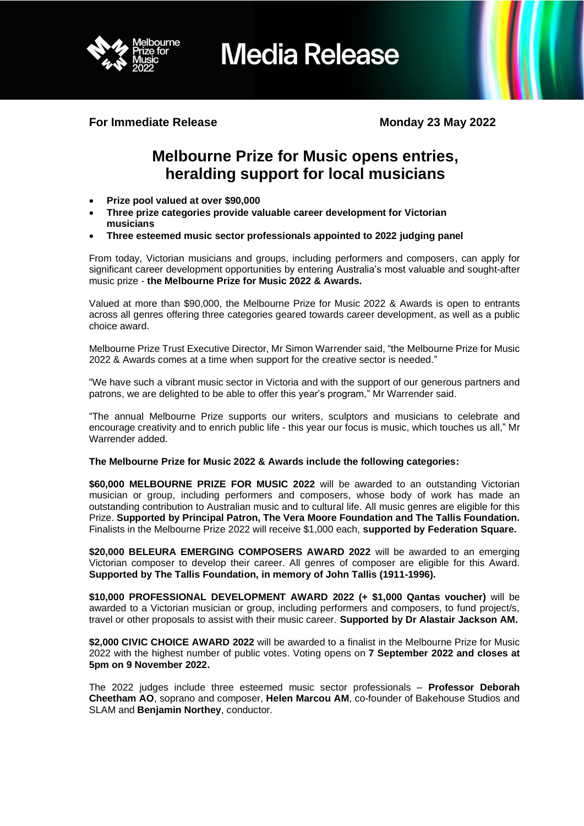

**For Immediate Release Monday 23 May 2022** 

# **Melbourne Prize for Music opens entries, heralding support for local musicians**

- **Prize pool valued at over \$90,000**
- **Three prize categories provide valuable career development for Victorian musicians**
- **Three esteemed music sector professionals appointed to 2022 judging panel**

From today, Victorian musicians and groups, including performers and composers, can apply for significant career development opportunities by entering Australia's most valuable and sought-after music prize - **the Melbourne Prize for Music 2022 & Awards.**

Valued at more than \$90,000, the Melbourne Prize for Music 2022 & Awards is open to entrants across all genres offering three categories geared towards career development, as well as a public choice award.

Melbourne Prize Trust Executive Director, Mr Simon Warrender said, "the Melbourne Prize for Music 2022 & Awards comes at a time when support for the creative sector is needed."

"We have such a vibrant music sector in Victoria and with the support of our generous partners and patrons, we are delighted to be able to offer this year's program," Mr Warrender said.

"The annual Melbourne Prize supports our writers, sculptors and musicians to celebrate and encourage creativity and to enrich public life - this year our focus is music, which touches us all," Mr Warrender added.

# **The Melbourne Prize for Music 2022 & Awards include the following categories:**

**\$60,000 MELBOURNE PRIZE FOR MUSIC 2022** will be awarded to an outstanding Victorian musician or group, including performers and composers, whose body of work has made an outstanding contribution to Australian music and to cultural life. All music genres are eligible for this Prize. **Supported by Principal Patron, The Vera Moore Foundation and The Tallis Foundation.** Finalists in the Melbourne Prize 2022 will receive \$1,000 each, **supported by Federation Square.**

\$20,000 BELEURA EMERGING COMPOSERS AWARD 2022 will be awarded to an emerging Victorian composer to develop their career. All genres of composer are eligible for this Award. **Supported by The Tallis Foundation, in memory of John Tallis (1911-1996).**

**\$10,000 PROFESSIONAL DEVELOPMENT AWARD 2022 (+ \$1,000 Qantas voucher)** will be awarded to a Victorian musician or group, including performers and composers, to fund project/s, travel or other proposals to assist with their music career. **Supported by Dr Alastair Jackson AM.**

**\$2,000 CIVIC CHOICE AWARD 2022** will be awarded to a finalist in the Melbourne Prize for Music 2022 with the highest number of public votes. Voting opens on **7 September 2022 and closes at 5pm on 9 November 2022.**

The 2022 judges include three esteemed music sector professionals – **Professor Deborah Cheetham AO**, soprano and composer, **Helen Marcou AM**, co-founder of Bakehouse Studios and SLAM and **Benjamin Northey**, conductor.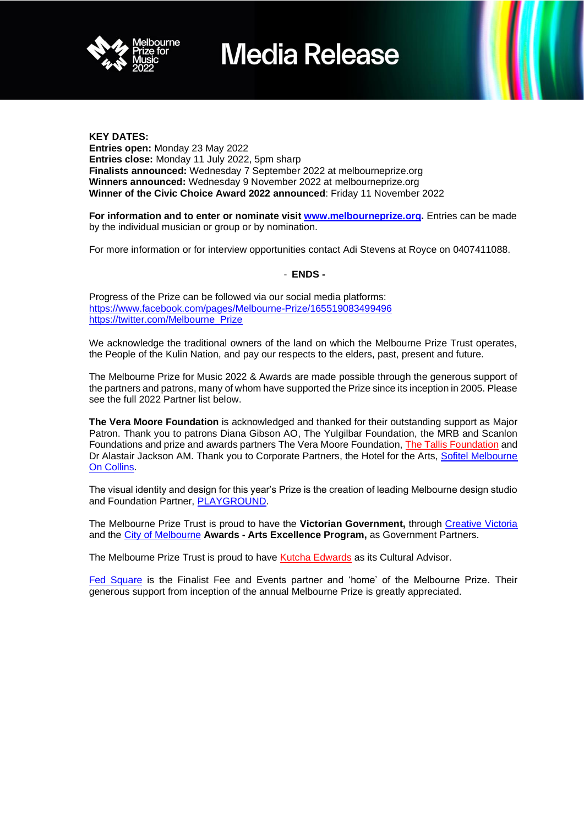

# **KEY DATES:**

**Entries open:** Monday 23 May 2022 **Entries close:** Monday 11 July 2022, 5pm sharp **Finalists announced:** Wednesday 7 September 2022 at melbourneprize.org **Winners announced:** Wednesday 9 November 2022 at melbourneprize.org **Winner of the Civic Choice Award 2022 announced**: Friday 11 November 2022

**For information and to enter or nominate visit [www.melbourneprize.org.](http://www.melbourneprize.org/)** Entries can be made by the individual musician or group or by nomination.

For more information or for interview opportunities contact Adi Stevens at Royce on 0407411088.

# - **ENDS -**

Progress of the Prize can be followed via our social media platforms: <https://www.facebook.com/pages/Melbourne-Prize/165519083499496> [https://twitter.com/Melbourne\\_Prize](https://twitter.com/Melbourne_Prize)

We acknowledge the traditional owners of the land on which the Melbourne Prize Trust operates, the People of the Kulin Nation, and pay our respects to the elders, past, present and future.

The Melbourne Prize for Music 2022 & Awards are made possible through the generous support of the partners and patrons, many of whom have supported the Prize since its inception in 2005. Please see the full 2022 Partner list below.

**The Vera Moore Foundation** is acknowledged and thanked for their outstanding support as Major Patron. Thank you to patrons Diana Gibson AO, The Yulgilbar Foundation, the MRB and Scanlon Foundations and prize and awards partners The Vera Moore Foundation, [The Tallis Foundation](https://www.beleura.org.au/) and Dr Alastair Jackson AM. Thank you to Corporate Partners, the Hotel for the Arts, **Sofitel Melbourne** [On Collins.](https://www.sofitel-melbourne.com.au/)

The visual identity and design for this year's Prize is the creation of leading Melbourne design studio and Foundation Partner, [PLAYGROUND.](https://playgroundstudio.com.au/)

The Melbourne Prize Trust is proud to have the **Victorian Government,** through [Creative Victoria](https://creative.vic.gov.au/) and the [City of Melbourne](https://www.melbourne.vic.gov.au/Pages/home.aspx) **Awards - Arts Excellence Program,** as Government Partners.

The Melbourne Prize Trust is proud to have [Kutcha Edwards](https://kutcha-edwards.com/) as its Cultural Advisor.

[Fed Square](https://fedsquare.com/) is the Finalist Fee and Events partner and 'home' of the Melbourne Prize. Their generous support from inception of the annual Melbourne Prize is greatly appreciated.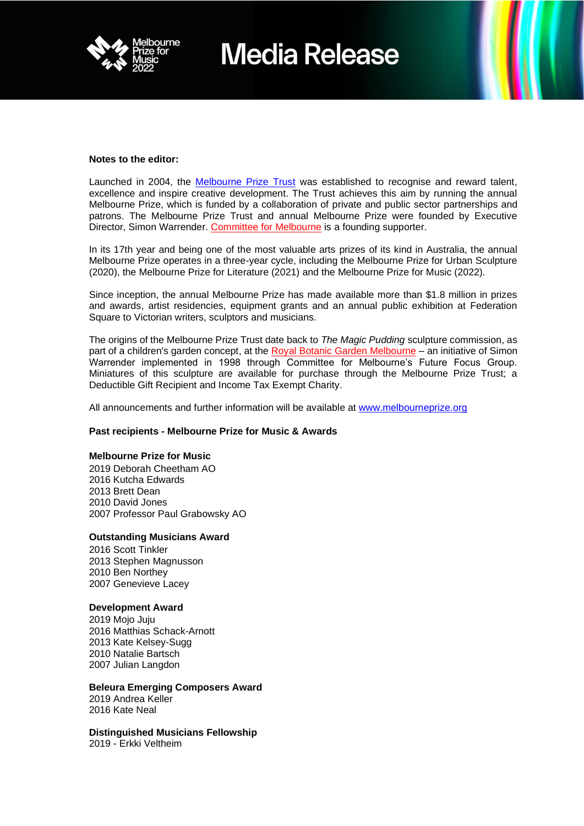

#### **Notes to the editor:**

Launched in 2004, the [Melbourne Prize Trust](https://www.melbourneprizetrust.org/) was established to recognise and reward talent, excellence and inspire creative development. The Trust achieves this aim by running the annual Melbourne Prize, which is funded by a collaboration of private and public sector partnerships and patrons. The Melbourne Prize Trust and annual Melbourne Prize were founded by Executive Director, Simon Warrender. [Committee for Melbourne](https://melbourne.org.au/) is a founding supporter.

In its 17th year and being one of the most valuable arts prizes of its kind in Australia, the annual Melbourne Prize operates in a three-year cycle, including the Melbourne Prize for Urban Sculpture (2020), the Melbourne Prize for Literature (2021) and the Melbourne Prize for Music (2022).

Since inception, the annual Melbourne Prize has made available more than \$1.8 million in prizes and awards, artist residencies, equipment grants and an annual public exhibition at Federation Square to Victorian writers, sculptors and musicians.

The origins of the Melbourne Prize Trust date back to *The Magic Pudding* sculpture commission, as part of a children's garden concept, at the [Royal Botanic Garden Melbourne](http://www.booking.com/seasons_botanic/gardens) – an initiative of Simon Warrender implemented in 1998 through Committee for Melbourne's Future Focus Group. Miniatures of this sculpture are available for purchase through the Melbourne Prize Trust; a Deductible Gift Recipient and Income Tax Exempt Charity.

All announcements and further information will be available at [www.melbourneprize.org](http://www.melbourneprize.org/)

# **Past recipients - Melbourne Prize for Music & Awards**

#### **Melbourne Prize for Music**

2019 Deborah Cheetham AO 2016 Kutcha Edwards 2013 Brett Dean 2010 David Jones 2007 Professor Paul Grabowsky AO

#### **Outstanding Musicians Award**

2016 Scott Tinkler Stephen Magnusson Ben Northey Genevieve Lacey

# **Development Award**

2019 Mojo Juju 2016 Matthias Schack-Arnott 2013 Kate Kelsey-Sugg 2010 Natalie Bartsch 2007 Julian Langdon

# **Beleura Emerging Composers Award**

2019 Andrea Keller 2016 Kate Neal

**Distinguished Musicians Fellowship**  2019 - Erkki Veltheim